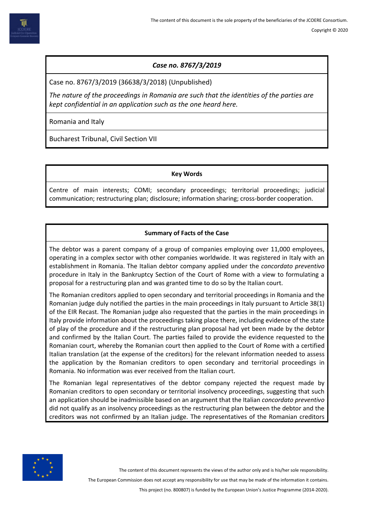# *Case no. 8767/3/2019*

Case no. 8767/3/2019 (36638/3/2018) (Unpublished)

*The nature of the proceedings in Romania are such that the identities of the parties are kept confidential in an application such as the one heard here.* 

Romania and Italy

Bucharest Tribunal, Civil Section VII

## **Key Words**

Centre of main interests; COMI; secondary proceedings; territorial proceedings; judicial communication; restructuring plan; disclosure; information sharing; cross-border cooperation.

# **Summary of Facts of the Case**

The debtor was a parent company of a group of companies employing over 11,000 employees, operating in a complex sector with other companies worldwide. It was registered in Italy with an establishment in Romania. The Italian debtor company applied under the *concordato preventivo* procedure in Italy in the Bankruptcy Section of the Court of Rome with a view to formulating a proposal for a restructuring plan and was granted time to do so by the Italian court.

The Romanian creditors applied to open secondary and territorial proceedings in Romania and the Romanian judge duly notified the parties in the main proceedings in Italy pursuant to Article 38(1) of the EIR Recast. The Romanian judge also requested that the parties in the main proceedings in Italy provide information about the proceedings taking place there, including evidence of the state of play of the procedure and if the restructuring plan proposal had yet been made by the debtor and confirmed by the Italian Court. The parties failed to provide the evidence requested to the Romanian court, whereby the Romanian court then applied to the Court of Rome with a certified Italian translation (at the expense of the creditors) for the relevant information needed to assess the application by the Romanian creditors to open secondary and territorial proceedings in Romania. No information was ever received from the Italian court.

The Romanian legal representatives of the debtor company rejected the request made by Romanian creditors to open secondary or territorial insolvency proceedings, suggesting that such an application should be inadmissible based on an argument that the Italian *concordato preventivo* did not qualify as an insolvency proceedings as the restructuring plan between the debtor and the creditors was not confirmed by an Italian judge. The representatives of the Romanian creditors



The content of this document represents the views of the author only and is his/her sole responsibility.

The European Commission does not accept any responsibility for use that may be made of the information it contains.

This project (no. 800807) is funded by the European Union's Justice Programme (2014-2020).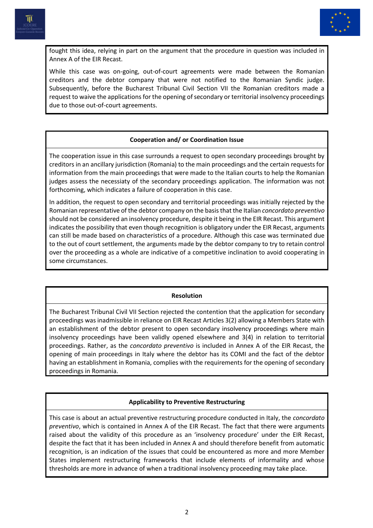



fought this idea, relying in part on the argument that the procedure in question was included in Annex A of the EIR Recast.

While this case was on-going, out-of-court agreements were made between the Romanian creditors and the debtor company that were not notified to the Romanian Syndic judge. Subsequently, before the Bucharest Tribunal Civil Section VII the Romanian creditors made a request to waive the applications for the opening of secondary or territorial insolvency proceedings due to those out-of-court agreements.

## **Cooperation and/ or Coordination Issue**

The cooperation issue in this case surrounds a request to open secondary proceedings brought by creditors in an ancillary jurisdiction (Romania) to the main proceedings and the certain requests for information from the main proceedings that were made to the Italian courts to help the Romanian judges assess the necessiaty of the secondary proceedings application. The information was not forthcoming, which indicates a failure of cooperation in this case.

In addition, the request to open secondary and territorial proceedings was initially rejected by the Romanian representative of the debtor company on the basis that the Italian *concordato preventivo* should not be considered an insolvency procedure, despite it being in the EIR Recast. This argument indicates the possibility that even though recognition is obligatory under the EIR Recast, arguments can still be made based on characteristics of a procedure. Although this case was terminated due to the out of court settlement, the arguments made by the debtor company to try to retain control over the proceeding as a whole are indicative of a competitive inclination to avoid cooperating in some circumstances.

#### **Resolution**

The Bucharest Tribunal Civil VII Section rejected the contention that the application for secondary proceedings was inadmissible in reliance on EIR Recast Articles 3(2) allowing a Members State with an establishment of the debtor present to open secondary insolvency proceedings where main insolvency proceedings have been validly opened elsewhere and 3(4) in relation to territorial proceedings. Rather, as the *concordato preventivo* is included in Annex A of the EIR Recast, the opening of main proceedings in Italy where the debtor has its COMI and the fact of the debtor having an establishment in Romania, complies with the requirements for the opening of secondary proceedings in Romania.

#### **Applicability to Preventive Restructuring**

This case is about an actual preventive restructuring procedure conducted in Italy, the *concordato preventivo*, which is contained in Annex A of the EIR Recast. The fact that there were arguments raised about the validity of this procedure as an 'insolvency procedure' under the EIR Recast, despite the fact that it has been included in Annex A and should therefore benefit from automatic recognition, is an indication of the issues that could be encountered as more and more Member States implement restructuring frameworks that include elements of informality and whose thresholds are more in advance of when a traditional insolvency proceeding may take place.